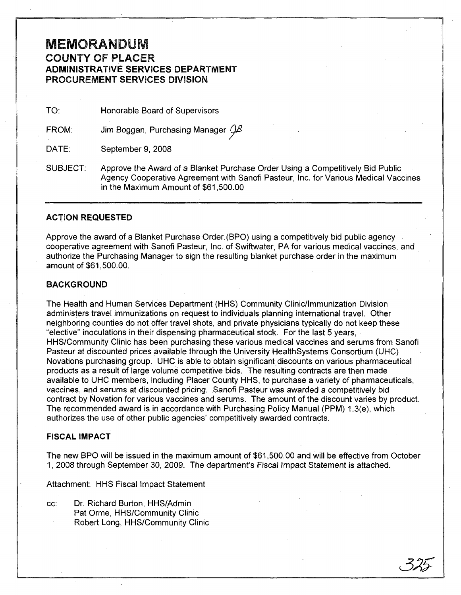## MEMORANDUM COUNTY OF PLACER ADMINISTRATIVE SERVICES DEPARTMENT PROCUREMENT SERVICES DIVISION

TO: Honorable Board of Supervisors

FROM: Jim Boggan, Purchasing Manager  $Q\beta$ 

DATE: September 9, 2008

SUBJECT: Approve the Award of a Blanket Purchase Order Using a Competitively Bid Public Agency Cooperative Agreement with Sanofi Pasteur, Inc. for Various Medical Vaccines in the Maximum Amount of \$61,500.00

### ACTION REQUESTED

Approve the award of a Blanket Purchase Order. (BPO) using a competitively bid public agency cooperative agreement with Sanofi Pasteur, Inc. of Swiftwater, PA for various medical vacpines, and authorize the Purchasing Manager to sign the resulting blanket purchase order in the maximum amount of \$61 ,500.00.

### BACKGROUND

The Health and Human Services Department (HHS) Community Clinic/Immunization Division administers travel immunizations on request to individuals planning international travel. Other neighboring counties do not offer travel shots, and private physicians typically do not keep these "elective" inoculations in their dispensing pharmaceutical stock. For the last 5 years, HHS/Community Clinic has been purchasing these various medical vaccines and serums from Sanofi Pasteur at discounted prices available through the University HealthSystems Consortium (UHC) Novations purchasing group. UHC is able to obtain significant discounts on various pharmaceutical products as a result of large volume competitive bids. The resulting contracts are then made available to UHC members, including Placer County HHS, to purchase a variety of pharmaceuticals, vaccines, and serums at discounted pricing. Sanofi Pasteur was awarded a competitively bid contract by Novation for various vaccines and serums. The amount of the discount varies by product. The recommended award is in accordance with Purchasing Policy Manual (PPM) 1.3(e), which authorizes the use of other public agencies' competitively awarded contracts.

### FISCAL IMPACT

The new BPO will be issued in the maximum amount of \$61,500.00 and will be effective from October 1, 2008 through September 30, 2009. The department's Fiscal Impact Statement is attached.

Attachment: HHS Fiscal Impact Statement

cc: Dr. Richard Burton, HHS(Admin Pat Orme, HHS/Community Clinic Robert Long, HHS/Community Clinic